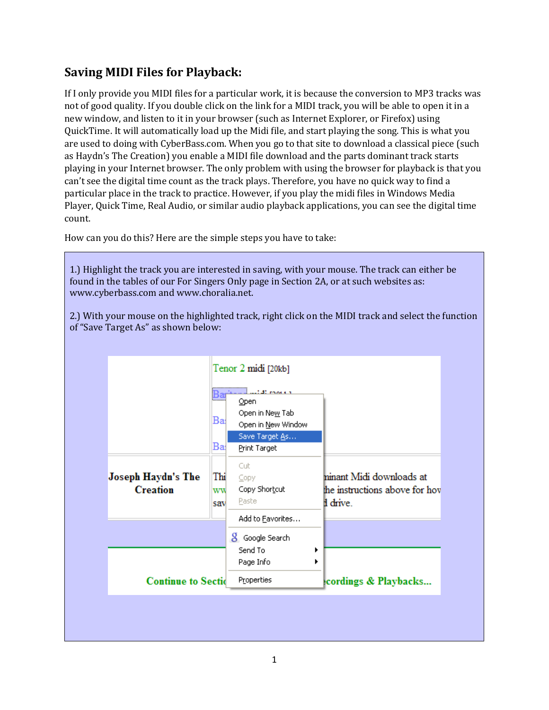## **Saving MIDI Files for Playback:**

If I only provide you MIDI files for a particular work, it is because the conversion to MP3 tracks was not of good quality. If you double click on the link for a MIDI track, you will be able to open it in a new window, and listen to it in your browser (such as Internet Explorer, or Firefox) using QuickTime. It will automatically load up the Midi file, and start playing the song. This is what you are used to doing with CyberBass.com. When you go to that site to download a classical piece (such as Haydn's The Creation) you enable a MIDI file download and the parts dominant track starts playing in your Internet browser. The only problem with using the browser for playback is that you can't see the digital time count as the track plays. Therefore, you have no quick way to find a particular place in the track to practice. However, if you play the midi files in Windows Media Player, Quick Time, Real Audio, or similar audio playback applications, you can see the digital time count.

How can you do this? Here are the simple steps you have to take:

1.) Highlight the track you are interested in saving, with your mouse. The track can either be found in the tables of our For Singers Only page in Section 2A, or at such websites as: www.cyberbass.com and www.choralia.net.

2.) With your mouse on the highlighted track, right click on the MIDI track and select the function of "Save Target As" as shown below:

|                                       |                  | Tenor 2 midi [20kb]                                 |                                                                      |
|---------------------------------------|------------------|-----------------------------------------------------|----------------------------------------------------------------------|
|                                       | Ba<br>.          | <br>$2.42$ models $\tau$<br>Open<br>Open in New Tab |                                                                      |
|                                       | Ba               | Open in New Window                                  |                                                                      |
|                                       | Bai              | Save Target As<br>Print Target                      |                                                                      |
| Joseph Haydn's The<br><b>Creation</b> | Thi<br>ww<br>sav | Cut.<br>Copy<br>Copy Shortcut<br>Paste              | ninant Midi downloads at<br>the instructions above for hov<br>drive. |
|                                       |                  | Add to Eavorites<br>8 Google Search                 |                                                                      |
|                                       |                  | Send To<br>٠<br>Page Info<br>٠                      |                                                                      |
| <b>Continue to Sectid</b>             |                  | Properties                                          | cordings & Playbacks                                                 |
|                                       |                  |                                                     |                                                                      |